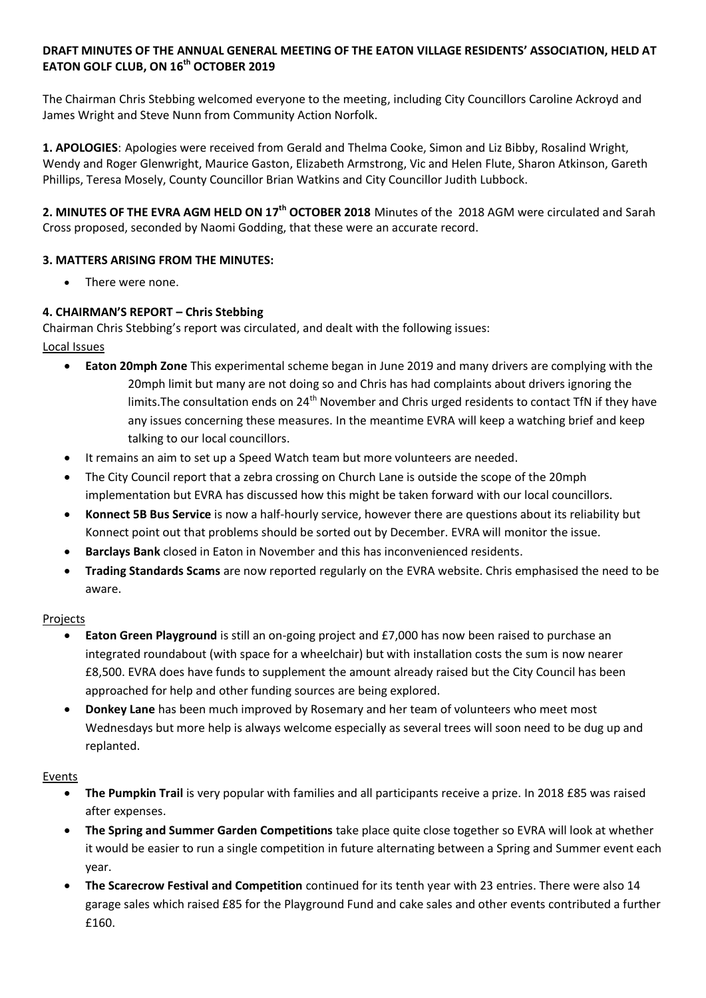## **DRAFT MINUTES OF THE ANNUAL GENERAL MEETING OF THE EATON VILLAGE RESIDENTS' ASSOCIATION, HELD AT EATON GOLF CLUB, ON 16 th OCTOBER 2019**

The Chairman Chris Stebbing welcomed everyone to the meeting, including City Councillors Caroline Ackroyd and James Wright and Steve Nunn from Community Action Norfolk.

**1. APOLOGIES**: Apologies were received from Gerald and Thelma Cooke, Simon and Liz Bibby, Rosalind Wright, Wendy and Roger Glenwright, Maurice Gaston, Elizabeth Armstrong, Vic and Helen Flute, Sharon Atkinson, Gareth Phillips, Teresa Mosely, County Councillor Brian Watkins and City Councillor Judith Lubbock.

2. MINUTES OF THE EVRA AGM HELD ON 17<sup>th</sup> OCTOBER 2018 Minutes of the 2018 AGM were circulated and Sarah Cross proposed, seconded by Naomi Godding, that these were an accurate record.

## **3. MATTERS ARISING FROM THE MINUTES:**

There were none.

## **4. CHAIRMAN'S REPORT – Chris Stebbing**

Chairman Chris Stebbing's report was circulated, and dealt with the following issues: Local Issues

- **Eaton 20mph Zone** This experimental scheme began in June 2019 and many drivers are complying with the 20mph limit but many are not doing so and Chris has had complaints about drivers ignoring the limits. The consultation ends on 24<sup>th</sup> November and Chris urged residents to contact TfN if they have any issues concerning these measures. In the meantime EVRA will keep a watching brief and keep talking to our local councillors.
- It remains an aim to set up a Speed Watch team but more volunteers are needed.
- The City Council report that a zebra crossing on Church Lane is outside the scope of the 20mph implementation but EVRA has discussed how this might be taken forward with our local councillors.
- **Konnect 5B Bus Service** is now a half-hourly service, however there are questions about its reliability but Konnect point out that problems should be sorted out by December. EVRA will monitor the issue.
- **Barclays Bank** closed in Eaton in November and this has inconvenienced residents.
- **Trading Standards Scams** are now reported regularly on the EVRA website. Chris emphasised the need to be aware.

### Projects

- **Eaton Green Playground** is still an on-going project and £7,000 has now been raised to purchase an integrated roundabout (with space for a wheelchair) but with installation costs the sum is now nearer £8,500. EVRA does have funds to supplement the amount already raised but the City Council has been approached for help and other funding sources are being explored.
- **Donkey Lane** has been much improved by Rosemary and her team of volunteers who meet most Wednesdays but more help is always welcome especially as several trees will soon need to be dug up and replanted.

### Events

- **The Pumpkin Trail** is very popular with families and all participants receive a prize. In 2018 £85 was raised after expenses.
- **The Spring and Summer Garden Competitions** take place quite close together so EVRA will look at whether it would be easier to run a single competition in future alternating between a Spring and Summer event each year.
- **The Scarecrow Festival and Competition** continued for its tenth year with 23 entries. There were also 14 garage sales which raised £85 for the Playground Fund and cake sales and other events contributed a further £160.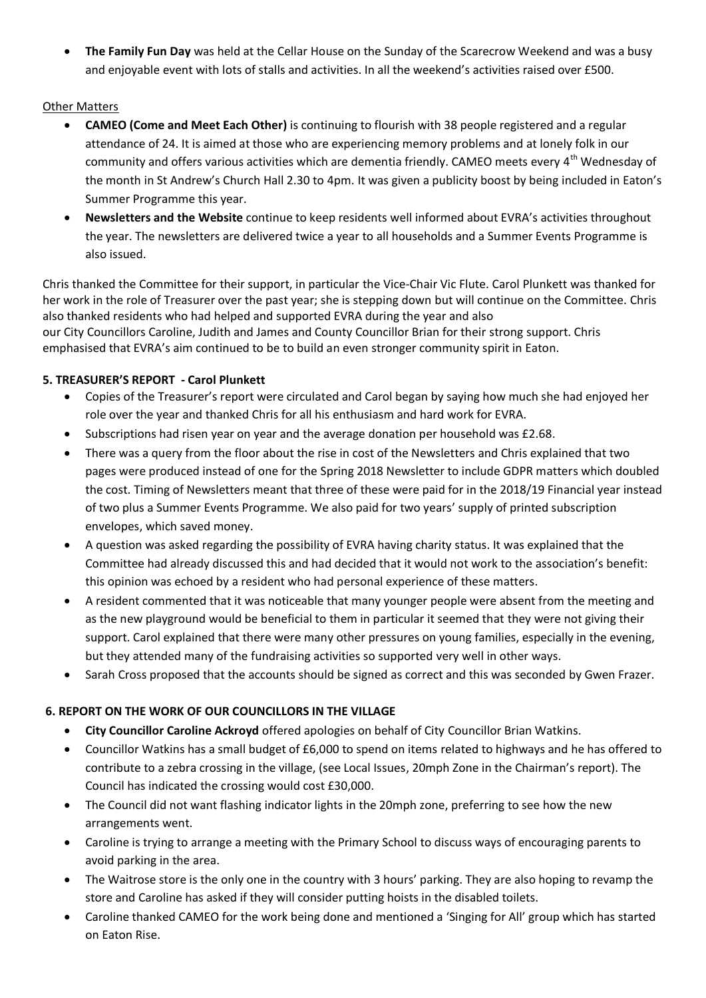**The Family Fun Day** was held at the Cellar House on the Sunday of the Scarecrow Weekend and was a busy and enjoyable event with lots of stalls and activities. In all the weekend's activities raised over £500.

## Other Matters

- **CAMEO (Come and Meet Each Other)** is continuing to flourish with 38 people registered and a regular attendance of 24. It is aimed at those who are experiencing memory problems and at lonely folk in our community and offers various activities which are dementia friendly. CAMEO meets every 4<sup>th</sup> Wednesday of the month in St Andrew's Church Hall 2.30 to 4pm. It was given a publicity boost by being included in Eaton's Summer Programme this year.
- **Newsletters and the Website** continue to keep residents well informed about EVRA's activities throughout the year. The newsletters are delivered twice a year to all households and a Summer Events Programme is also issued.

Chris thanked the Committee for their support, in particular the Vice-Chair Vic Flute. Carol Plunkett was thanked for her work in the role of Treasurer over the past year; she is stepping down but will continue on the Committee. Chris also thanked residents who had helped and supported EVRA during the year and also our City Councillors Caroline, Judith and James and County Councillor Brian for their strong support. Chris emphasised that EVRA's aim continued to be to build an even stronger community spirit in Eaton.

## **5. TREASURER'S REPORT - Carol Plunkett**

- Copies of the Treasurer's report were circulated and Carol began by saying how much she had enjoyed her role over the year and thanked Chris for all his enthusiasm and hard work for EVRA.
- Subscriptions had risen year on year and the average donation per household was £2.68.
- There was a query from the floor about the rise in cost of the Newsletters and Chris explained that two pages were produced instead of one for the Spring 2018 Newsletter to include GDPR matters which doubled the cost. Timing of Newsletters meant that three of these were paid for in the 2018/19 Financial year instead of two plus a Summer Events Programme. We also paid for two years' supply of printed subscription envelopes, which saved money.
- A question was asked regarding the possibility of EVRA having charity status. It was explained that the Committee had already discussed this and had decided that it would not work to the association's benefit: this opinion was echoed by a resident who had personal experience of these matters.
- A resident commented that it was noticeable that many younger people were absent from the meeting and as the new playground would be beneficial to them in particular it seemed that they were not giving their support. Carol explained that there were many other pressures on young families, especially in the evening, but they attended many of the fundraising activities so supported very well in other ways.
- Sarah Cross proposed that the accounts should be signed as correct and this was seconded by Gwen Frazer.

# **6. REPORT ON THE WORK OF OUR COUNCILLORS IN THE VILLAGE**

- **City Councillor Caroline Ackroyd** offered apologies on behalf of City Councillor Brian Watkins.
- Councillor Watkins has a small budget of £6,000 to spend on items related to highways and he has offered to contribute to a zebra crossing in the village, (see Local Issues, 20mph Zone in the Chairman's report). The Council has indicated the crossing would cost £30,000.
- The Council did not want flashing indicator lights in the 20mph zone, preferring to see how the new arrangements went.
- Caroline is trying to arrange a meeting with the Primary School to discuss ways of encouraging parents to avoid parking in the area.
- The Waitrose store is the only one in the country with 3 hours' parking. They are also hoping to revamp the store and Caroline has asked if they will consider putting hoists in the disabled toilets.
- Caroline thanked CAMEO for the work being done and mentioned a 'Singing for All' group which has started on Eaton Rise.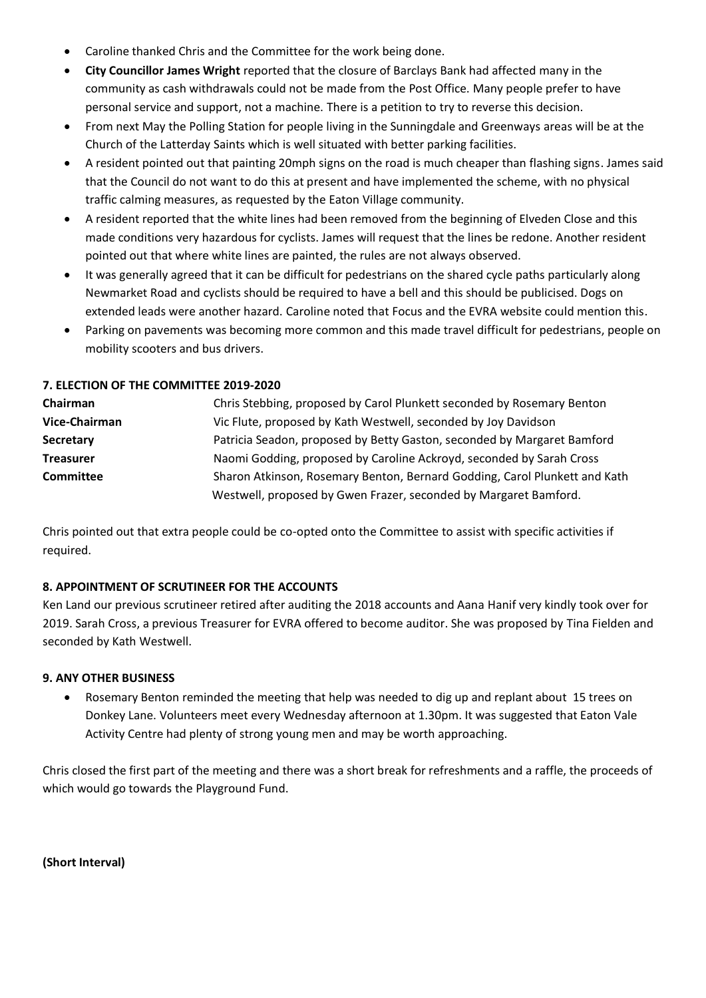- Caroline thanked Chris and the Committee for the work being done.
- **City Councillor James Wright** reported that the closure of Barclays Bank had affected many in the community as cash withdrawals could not be made from the Post Office. Many people prefer to have personal service and support, not a machine. There is a petition to try to reverse this decision.
- From next May the Polling Station for people living in the Sunningdale and Greenways areas will be at the Church of the Latterday Saints which is well situated with better parking facilities.
- A resident pointed out that painting 20mph signs on the road is much cheaper than flashing signs. James said that the Council do not want to do this at present and have implemented the scheme, with no physical traffic calming measures, as requested by the Eaton Village community.
- A resident reported that the white lines had been removed from the beginning of Elveden Close and this made conditions very hazardous for cyclists. James will request that the lines be redone. Another resident pointed out that where white lines are painted, the rules are not always observed.
- It was generally agreed that it can be difficult for pedestrians on the shared cycle paths particularly along Newmarket Road and cyclists should be required to have a bell and this should be publicised. Dogs on extended leads were another hazard. Caroline noted that Focus and the EVRA website could mention this.
- Parking on pavements was becoming more common and this made travel difficult for pedestrians, people on mobility scooters and bus drivers.

### **7. ELECTION OF THE COMMITTEE 2019-2020**

| Chairman         | Chris Stebbing, proposed by Carol Plunkett seconded by Rosemary Benton     |
|------------------|----------------------------------------------------------------------------|
| Vice-Chairman    | Vic Flute, proposed by Kath Westwell, seconded by Joy Davidson             |
| Secretary        | Patricia Seadon, proposed by Betty Gaston, seconded by Margaret Bamford    |
| <b>Treasurer</b> | Naomi Godding, proposed by Caroline Ackroyd, seconded by Sarah Cross       |
| <b>Committee</b> | Sharon Atkinson, Rosemary Benton, Bernard Godding, Carol Plunkett and Kath |
|                  | Westwell, proposed by Gwen Frazer, seconded by Margaret Bamford.           |

Chris pointed out that extra people could be co-opted onto the Committee to assist with specific activities if required.

### **8. APPOINTMENT OF SCRUTINEER FOR THE ACCOUNTS**

Ken Land our previous scrutineer retired after auditing the 2018 accounts and Aana Hanif very kindly took over for 2019. Sarah Cross, a previous Treasurer for EVRA offered to become auditor. She was proposed by Tina Fielden and seconded by Kath Westwell.

### **9. ANY OTHER BUSINESS**

 Rosemary Benton reminded the meeting that help was needed to dig up and replant about 15 trees on Donkey Lane. Volunteers meet every Wednesday afternoon at 1.30pm. It was suggested that Eaton Vale Activity Centre had plenty of strong young men and may be worth approaching.

Chris closed the first part of the meeting and there was a short break for refreshments and a raffle, the proceeds of which would go towards the Playground Fund.

**(Short Interval)**